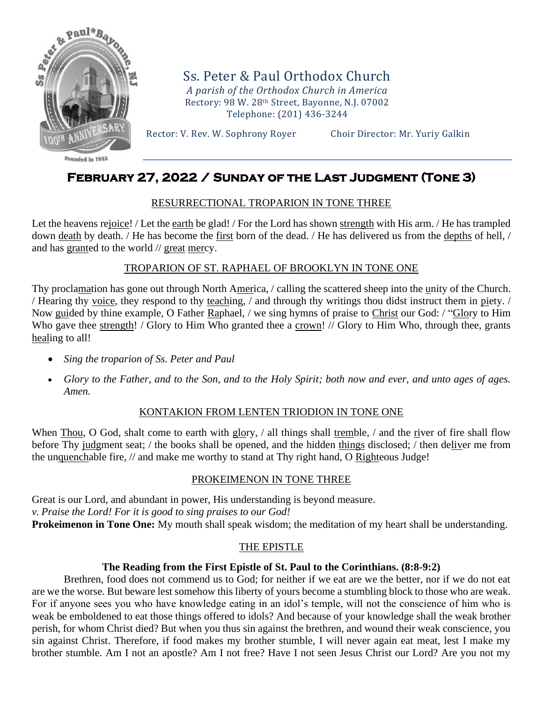

Ss. Peter & Paul Orthodox Church *A parish of the Orthodox Church in America* Rectory: 98 W. 28th Street, Bayonne, N.J. 07002 Telephone: (201) 436-3244

Rector: V. Rev. W. Sophrony Royer Choir Director: Mr. Yuriy Galkin

# **February 27, 2022 / Sunday of the Last Judgment (Tone 3)**

# RESURRECTIONAL TROPARION IN TONE THREE

Let the heavens rejoice! / Let the earth be glad! / For the Lord has shown strength with His arm. / He has trampled down death by death. / He has become the first born of the dead. / He has delivered us from the depths of hell, / and has granted to the world // great mercy.

### TROPARION OF ST. RAPHAEL OF BROOKLYN IN TONE ONE

Thy proclamation has gone out through North America, / calling the scattered sheep into the unity of the Church. / Hearing thy voice, they respond to thy teaching, / and through thy writings thou didst instruct them in piety. / Now guided by thine example, O Father Raphael, / we sing hymns of praise to Christ our God: / "Glory to Him Who gave thee strength! / Glory to Him Who granted thee a crown! // Glory to Him Who, through thee, grants healing to all!

- *Sing the troparion of Ss. Peter and Paul*
- *Glory to the Father, and to the Son, and to the Holy Spirit; both now and ever, and unto ages of ages. Amen.*

### KONTAKION FROM LENTEN TRIODION IN TONE ONE

When Thou, O God, shalt come to earth with glory,  $\ell$  all things shall tremble,  $\ell$  and the river of fire shall flow before Thy judgment seat; / the books shall be opened, and the hidden things disclosed; / then deliver me from the unquenchable fire, // and make me worthy to stand at Thy right hand, O Righteous Judge!

### PROKEIMENON IN TONE THREE

Great is our Lord, and abundant in power, His understanding is beyond measure. *v. Praise the Lord! For it is good to sing praises to our God!* **Prokeimenon in Tone One:** My mouth shall speak wisdom; the meditation of my heart shall be understanding.

### THE EPISTLE

### **The Reading from the First Epistle of St. Paul to the Corinthians. (8:8-9:2)**

Brethren, food does not commend us to God; for neither if we eat are we the better, nor if we do not eat are we the worse. But beware lest somehow this liberty of yours become a stumbling block to those who are weak. For if anyone sees you who have knowledge eating in an idol's temple, will not the conscience of him who is weak be emboldened to eat those things offered to idols? And because of your knowledge shall the weak brother perish, for whom Christ died? But when you thus sin against the brethren, and wound their weak conscience, you sin against Christ. Therefore, if food makes my brother stumble, I will never again eat meat, lest I make my brother stumble. Am I not an apostle? Am I not free? Have I not seen Jesus Christ our Lord? Are you not my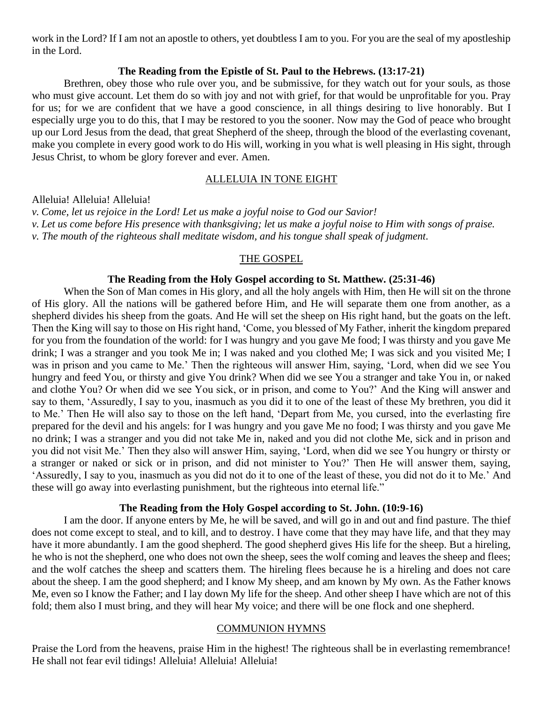work in the Lord? If I am not an apostle to others, yet doubtless I am to you. For you are the seal of my apostleship in the Lord.

#### **The Reading from the Epistle of St. Paul to the Hebrews. (13:17-21)**

Brethren, obey those who rule over you, and be submissive, for they watch out for your souls, as those who must give account. Let them do so with joy and not with grief, for that would be unprofitable for you. Pray for us; for we are confident that we have a good conscience, in all things desiring to live honorably. But I especially urge you to do this, that I may be restored to you the sooner. Now may the God of peace who brought up our Lord Jesus from the dead, that great Shepherd of the sheep, through the blood of the everlasting covenant, make you complete in every good work to do His will, working in you what is well pleasing in His sight, through Jesus Christ, to whom be glory forever and ever. Amen.

#### ALLELUIA IN TONE EIGHT

Alleluia! Alleluia! Alleluia!

*v. Come, let us rejoice in the Lord! Let us make a joyful noise to God our Savior! v. Let us come before His presence with thanksgiving; let us make a joyful noise to Him with songs of praise. v. The mouth of the righteous shall meditate wisdom, and his tongue shall speak of judgment.*

#### THE GOSPEL

#### **The Reading from the Holy Gospel according to St. Matthew. (25:31-46)**

When the Son of Man comes in His glory, and all the holy angels with Him, then He will sit on the throne of His glory. All the nations will be gathered before Him, and He will separate them one from another, as a shepherd divides his sheep from the goats. And He will set the sheep on His right hand, but the goats on the left. Then the King will say to those on His right hand, 'Come, you blessed of My Father, inherit the kingdom prepared for you from the foundation of the world: for I was hungry and you gave Me food; I was thirsty and you gave Me drink; I was a stranger and you took Me in; I was naked and you clothed Me; I was sick and you visited Me; I was in prison and you came to Me.' Then the righteous will answer Him, saying, 'Lord, when did we see You hungry and feed You, or thirsty and give You drink? When did we see You a stranger and take You in, or naked and clothe You? Or when did we see You sick, or in prison, and come to You?' And the King will answer and say to them, 'Assuredly, I say to you, inasmuch as you did it to one of the least of these My brethren, you did it to Me.' Then He will also say to those on the left hand, 'Depart from Me, you cursed, into the everlasting fire prepared for the devil and his angels: for I was hungry and you gave Me no food; I was thirsty and you gave Me no drink; I was a stranger and you did not take Me in, naked and you did not clothe Me, sick and in prison and you did not visit Me.' Then they also will answer Him, saying, 'Lord, when did we see You hungry or thirsty or a stranger or naked or sick or in prison, and did not minister to You?' Then He will answer them, saying, 'Assuredly, I say to you, inasmuch as you did not do it to one of the least of these, you did not do it to Me.' And these will go away into everlasting punishment, but the righteous into eternal life."

### **The Reading from the Holy Gospel according to St. John. (10:9-16)**

I am the door. If anyone enters by Me, he will be saved, and will go in and out and find pasture. The thief does not come except to steal, and to kill, and to destroy. I have come that they may have life, and that they may have it more abundantly. I am the good shepherd. The good shepherd gives His life for the sheep. But a hireling, he who is not the shepherd, one who does not own the sheep, sees the wolf coming and leaves the sheep and flees; and the wolf catches the sheep and scatters them. The hireling flees because he is a hireling and does not care about the sheep. I am the good shepherd; and I know My sheep, and am known by My own. As the Father knows Me, even so I know the Father; and I lay down My life for the sheep. And other sheep I have which are not of this fold; them also I must bring, and they will hear My voice; and there will be one flock and one shepherd.

#### COMMUNION HYMNS

Praise the Lord from the heavens, praise Him in the highest! The righteous shall be in everlasting remembrance! He shall not fear evil tidings! Alleluia! Alleluia! Alleluia!